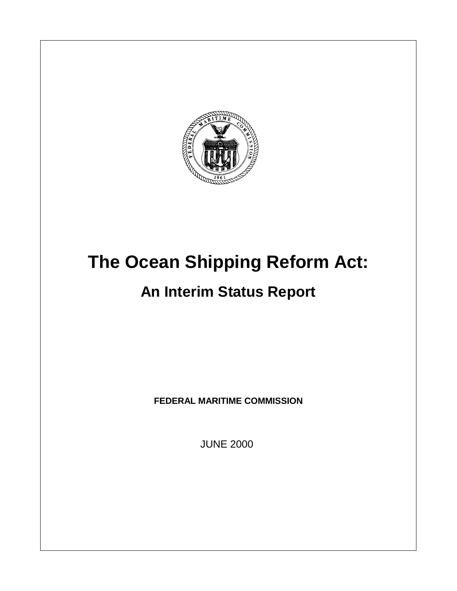

# **The Ocean Shipping Reform Act:**

## **An Interim Status Report**

**FEDERAL MARITIME COMMISSION**

JUNE 2000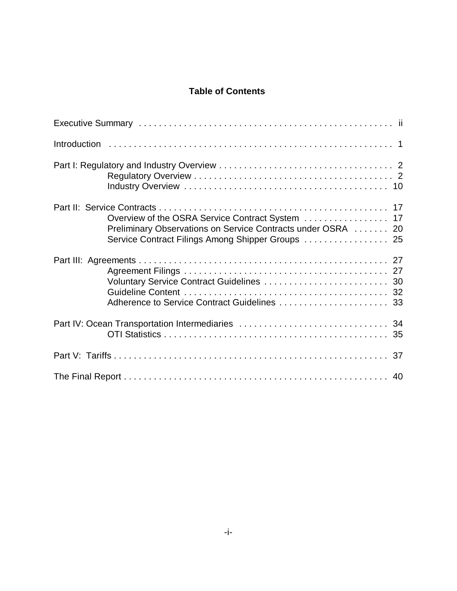## **Table of Contents**

| Overview of the OSRA Service Contract System  17<br>Preliminary Observations on Service Contracts under OSRA  20<br>Service Contract Filings Among Shipper Groups  25 |  |
|-----------------------------------------------------------------------------------------------------------------------------------------------------------------------|--|
| Adherence to Service Contract Guidelines  33                                                                                                                          |  |
|                                                                                                                                                                       |  |
|                                                                                                                                                                       |  |
|                                                                                                                                                                       |  |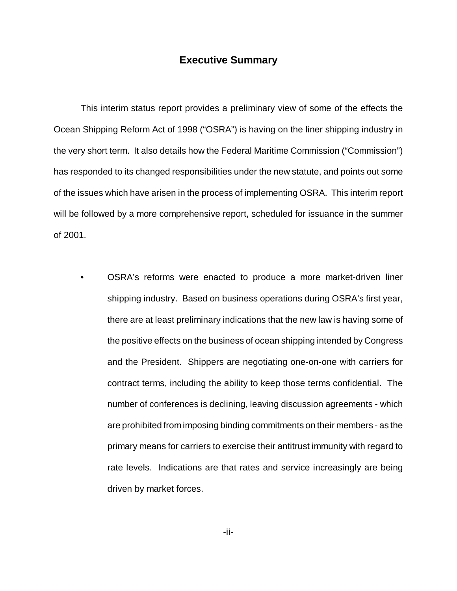## **Executive Summary**

This interim status report provides a preliminary view of some of the effects the Ocean Shipping Reform Act of 1998 ("OSRA") is having on the liner shipping industry in the very short term. It also details how the Federal Maritime Commission ("Commission") has responded to its changed responsibilities under the new statute, and points out some of the issues which have arisen in the process of implementing OSRA. This interim report will be followed by a more comprehensive report, scheduled for issuance in the summer of 2001.

• OSRA's reforms were enacted to produce a more market-driven liner shipping industry. Based on business operations during OSRA's first year, there are at least preliminary indications that the new law is having some of the positive effects on the business of ocean shipping intended by Congress and the President. Shippers are negotiating one-on-one with carriers for contract terms, including the ability to keep those terms confidential. The number of conferences is declining, leaving discussion agreements - which are prohibited from imposing binding commitments on their members - as the primary means for carriers to exercise their antitrust immunity with regard to rate levels. Indications are that rates and service increasingly are being driven by market forces.

-ii-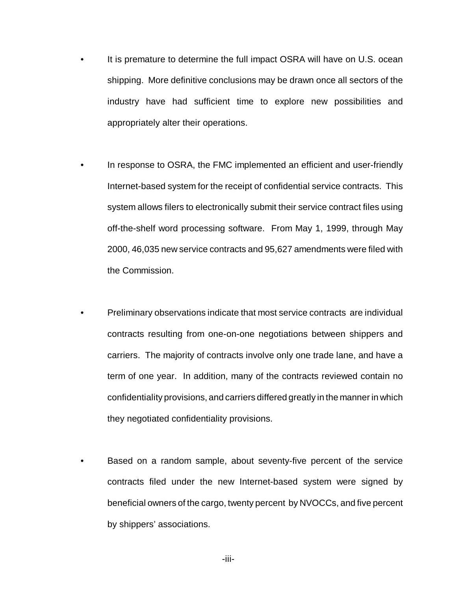- It is premature to determine the full impact OSRA will have on U.S. ocean shipping. More definitive conclusions may be drawn once all sectors of the industry have had sufficient time to explore new possibilities and appropriately alter their operations.
- In response to OSRA, the FMC implemented an efficient and user-friendly Internet-based system for the receipt of confidential service contracts. This system allows filers to electronically submit their service contract files using off-the-shelf word processing software. From May 1, 1999, through May 2000, 46,035 new service contracts and 95,627 amendments were filed with the Commission.
- Preliminary observations indicate that most service contracts are individual contracts resulting from one-on-one negotiations between shippers and carriers. The majority of contracts involve only one trade lane, and have a term of one year. In addition, many of the contracts reviewed contain no confidentiality provisions, and carriers differed greatly in the manner in which they negotiated confidentiality provisions.
- Based on a random sample, about seventy-five percent of the service contracts filed under the new Internet-based system were signed by beneficial owners of the cargo, twenty percent by NVOCCs, and five percent by shippers' associations.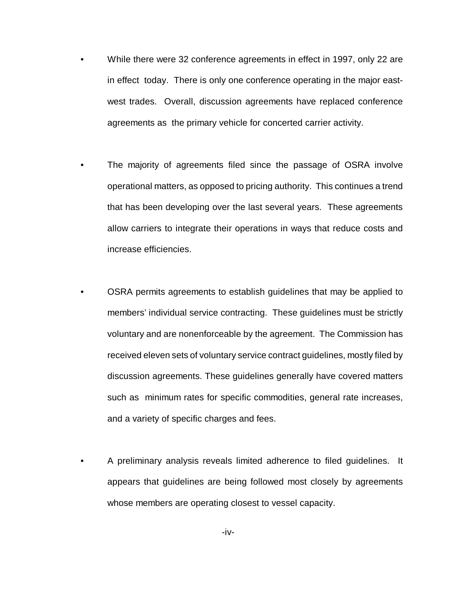- While there were 32 conference agreements in effect in 1997, only 22 are in effect today. There is only one conference operating in the major eastwest trades. Overall, discussion agreements have replaced conference agreements as the primary vehicle for concerted carrier activity.
- The majority of agreements filed since the passage of OSRA involve operational matters, as opposed to pricing authority. This continues a trend that has been developing over the last several years. These agreements allow carriers to integrate their operations in ways that reduce costs and increase efficiencies.
- OSRA permits agreements to establish guidelines that may be applied to members' individual service contracting. These guidelines must be strictly voluntary and are nonenforceable by the agreement. The Commission has received eleven sets of voluntary service contract guidelines, mostly filed by discussion agreements. These guidelines generally have covered matters such as minimum rates for specific commodities, general rate increases, and a variety of specific charges and fees.
- A preliminary analysis reveals limited adherence to filed guidelines. It appears that guidelines are being followed most closely by agreements whose members are operating closest to vessel capacity.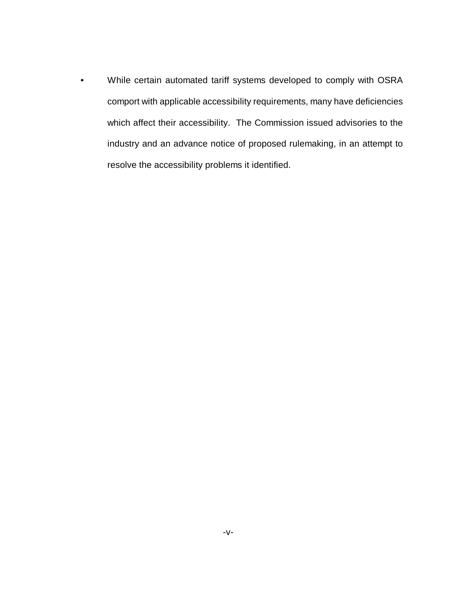• While certain automated tariff systems developed to comply with OSRA comport with applicable accessibility requirements, many have deficiencies which affect their accessibility. The Commission issued advisories to the industry and an advance notice of proposed rulemaking, in an attempt to resolve the accessibility problems it identified.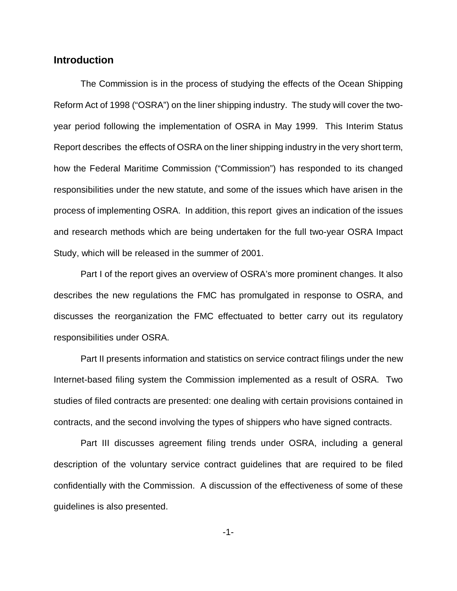## **Introduction**

The Commission is in the process of studying the effects of the Ocean Shipping Reform Act of 1998 ("OSRA") on the liner shipping industry. The study will cover the twoyear period following the implementation of OSRA in May 1999. This Interim Status Report describes the effects of OSRA on the liner shipping industry in the very short term, how the Federal Maritime Commission ("Commission") has responded to its changed responsibilities under the new statute, and some of the issues which have arisen in the process of implementing OSRA. In addition, this report gives an indication of the issues and research methods which are being undertaken for the full two-year OSRA Impact Study, which will be released in the summer of 2001.

Part I of the report gives an overview of OSRA's more prominent changes. It also describes the new regulations the FMC has promulgated in response to OSRA, and discusses the reorganization the FMC effectuated to better carry out its regulatory responsibilities under OSRA.

Part II presents information and statistics on service contract filings under the new Internet-based filing system the Commission implemented as a result of OSRA. Two studies of filed contracts are presented: one dealing with certain provisions contained in contracts, and the second involving the types of shippers who have signed contracts.

Part III discusses agreement filing trends under OSRA, including a general description of the voluntary service contract guidelines that are required to be filed confidentially with the Commission. A discussion of the effectiveness of some of these guidelines is also presented.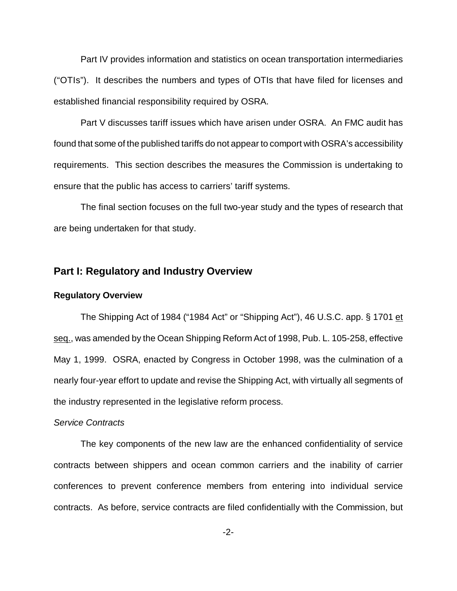Part IV provides information and statistics on ocean transportation intermediaries ("OTIs"). It describes the numbers and types of OTIs that have filed for licenses and established financial responsibility required by OSRA.

Part V discusses tariff issues which have arisen under OSRA. An FMC audit has found that some of the published tariffs do not appear to comport with OSRA's accessibility requirements. This section describes the measures the Commission is undertaking to ensure that the public has access to carriers' tariff systems.

The final section focuses on the full two-year study and the types of research that are being undertaken for that study.

## **Part I: Regulatory and Industry Overview**

## **Regulatory Overview**

The Shipping Act of 1984 ("1984 Act" or "Shipping Act"), 46 U.S.C. app. § 1701 et seq., was amended by the Ocean Shipping Reform Act of 1998, Pub. L. 105-258, effective May 1, 1999. OSRA, enacted by Congress in October 1998, was the culmination of a nearly four-year effort to update and revise the Shipping Act, with virtually all segments of the industry represented in the legislative reform process.

## *Service Contracts*

The key components of the new law are the enhanced confidentiality of service contracts between shippers and ocean common carriers and the inability of carrier conferences to prevent conference members from entering into individual service contracts. As before, service contracts are filed confidentially with the Commission, but

-2-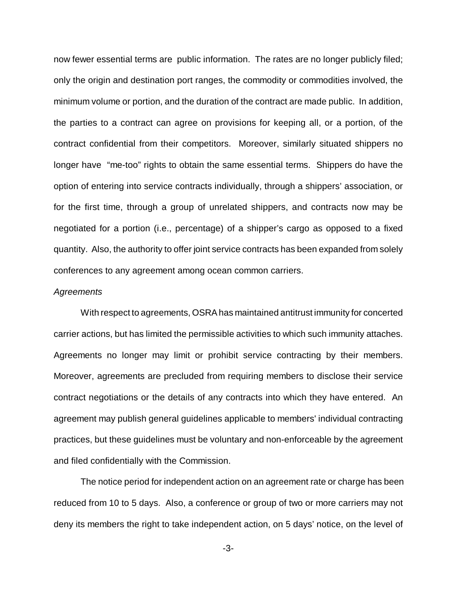now fewer essential terms are public information. The rates are no longer publicly filed; only the origin and destination port ranges, the commodity or commodities involved, the minimum volume or portion, and the duration of the contract are made public. In addition, the parties to a contract can agree on provisions for keeping all, or a portion, of the contract confidential from their competitors. Moreover, similarly situated shippers no longer have "me-too" rights to obtain the same essential terms. Shippers do have the option of entering into service contracts individually, through a shippers' association, or for the first time, through a group of unrelated shippers, and contracts now may be negotiated for a portion (i.e., percentage) of a shipper's cargo as opposed to a fixed quantity. Also, the authority to offer joint service contracts has been expanded from solely conferences to any agreement among ocean common carriers.

#### *Agreements*

With respect to agreements, OSRA has maintained antitrust immunity for concerted carrier actions, but has limited the permissible activities to which such immunity attaches. Agreements no longer may limit or prohibit service contracting by their members. Moreover, agreements are precluded from requiring members to disclose their service contract negotiations or the details of any contracts into which they have entered. An agreement may publish general guidelines applicable to members' individual contracting practices, but these guidelines must be voluntary and non-enforceable by the agreement and filed confidentially with the Commission.

 The notice period for independent action on an agreement rate or charge has been reduced from 10 to 5 days. Also, a conference or group of two or more carriers may not deny its members the right to take independent action, on 5 days' notice, on the level of

-3-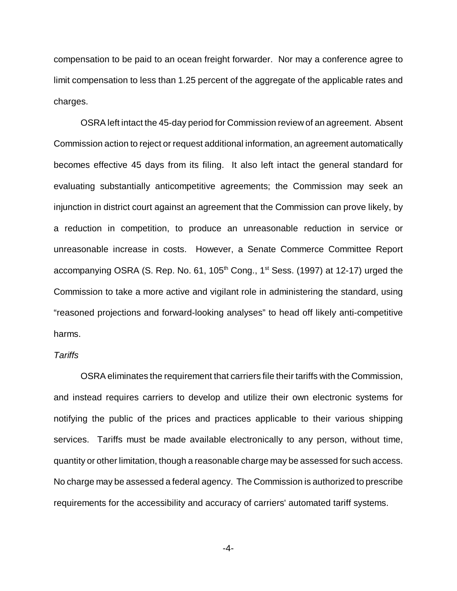compensation to be paid to an ocean freight forwarder. Nor may a conference agree to limit compensation to less than 1.25 percent of the aggregate of the applicable rates and charges.

OSRA left intact the 45-day period for Commission review of an agreement. Absent Commission action to reject or request additional information, an agreement automatically becomes effective 45 days from its filing. It also left intact the general standard for evaluating substantially anticompetitive agreements; the Commission may seek an injunction in district court against an agreement that the Commission can prove likely, by a reduction in competition, to produce an unreasonable reduction in service or unreasonable increase in costs. However, a Senate Commerce Committee Report accompanying OSRA (S. Rep. No. 61,  $105<sup>th</sup>$  Cong.,  $1<sup>st</sup>$  Sess. (1997) at 12-17) urged the Commission to take a more active and vigilant role in administering the standard, using "reasoned projections and forward-looking analyses" to head off likely anti-competitive harms.

## *Tariffs*

OSRA eliminates the requirement that carriers file their tariffs with the Commission, and instead requires carriers to develop and utilize their own electronic systems for notifying the public of the prices and practices applicable to their various shipping services. Tariffs must be made available electronically to any person, without time, quantity or other limitation, though a reasonable charge may be assessed for such access. No charge may be assessed a federal agency. The Commission is authorized to prescribe requirements for the accessibility and accuracy of carriers' automated tariff systems.

-4-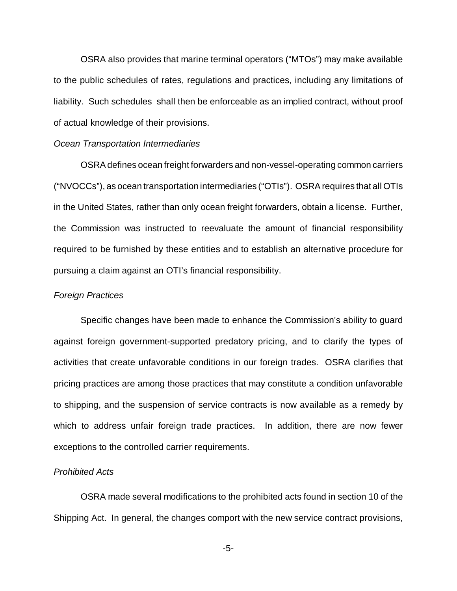OSRA also provides that marine terminal operators ("MTOs") may make available to the public schedules of rates, regulations and practices, including any limitations of liability. Such schedules shall then be enforceable as an implied contract, without proof of actual knowledge of their provisions.

## *Ocean Transportation Intermediaries*

OSRA defines ocean freight forwarders and non-vessel-operating common carriers ("NVOCCs"), as ocean transportation intermediaries ("OTIs"). OSRA requires that all OTIs in the United States, rather than only ocean freight forwarders, obtain a license. Further, the Commission was instructed to reevaluate the amount of financial responsibility required to be furnished by these entities and to establish an alternative procedure for pursuing a claim against an OTI's financial responsibility.

## *Foreign Practices*

Specific changes have been made to enhance the Commission's ability to guard against foreign government-supported predatory pricing, and to clarify the types of activities that create unfavorable conditions in our foreign trades. OSRA clarifies that pricing practices are among those practices that may constitute a condition unfavorable to shipping, and the suspension of service contracts is now available as a remedy by which to address unfair foreign trade practices. In addition, there are now fewer exceptions to the controlled carrier requirements.

## *Prohibited Acts*

OSRA made several modifications to the prohibited acts found in section 10 of the Shipping Act. In general, the changes comport with the new service contract provisions,

-5-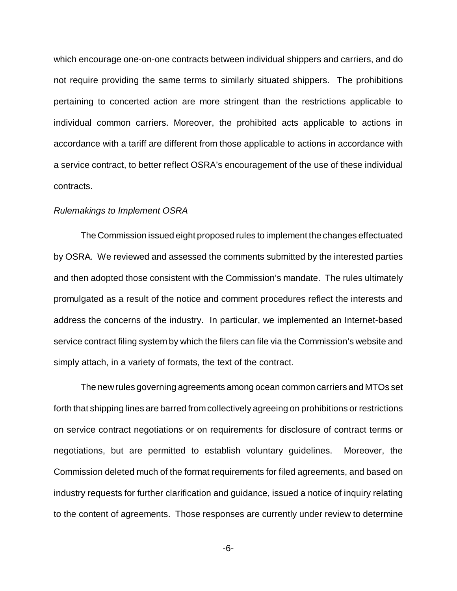which encourage one-on-one contracts between individual shippers and carriers, and do not require providing the same terms to similarly situated shippers. The prohibitions pertaining to concerted action are more stringent than the restrictions applicable to individual common carriers. Moreover, the prohibited acts applicable to actions in accordance with a tariff are different from those applicable to actions in accordance with a service contract, to better reflect OSRA's encouragement of the use of these individual contracts.

## *Rulemakings to Implement OSRA*

The Commission issued eight proposed rules to implement the changes effectuated by OSRA. We reviewed and assessed the comments submitted by the interested parties and then adopted those consistent with the Commission's mandate. The rules ultimately promulgated as a result of the notice and comment procedures reflect the interests and address the concerns of the industry. In particular, we implemented an Internet-based service contract filing system by which the filers can file via the Commission's website and simply attach, in a variety of formats, the text of the contract.

The new rules governing agreements among ocean common carriers and MTOs set forth that shipping lines are barred from collectively agreeing on prohibitions or restrictions on service contract negotiations or on requirements for disclosure of contract terms or negotiations, but are permitted to establish voluntary guidelines. Moreover, the Commission deleted much of the format requirements for filed agreements, and based on industry requests for further clarification and guidance, issued a notice of inquiry relating to the content of agreements. Those responses are currently under review to determine

-6-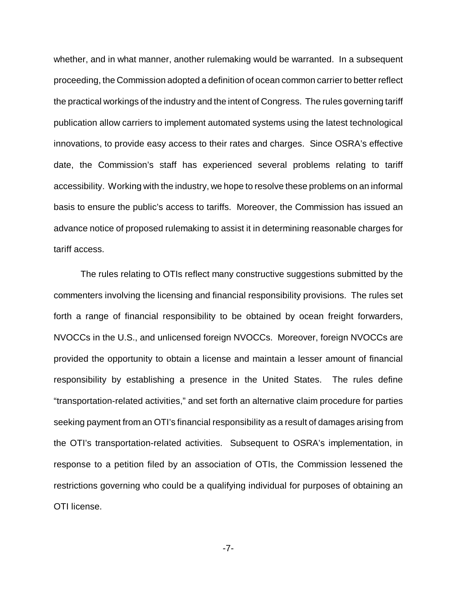whether, and in what manner, another rulemaking would be warranted. In a subsequent proceeding, the Commission adopted a definition of ocean common carrier to better reflect the practical workings of the industry and the intent of Congress. The rules governing tariff publication allow carriers to implement automated systems using the latest technological innovations, to provide easy access to their rates and charges. Since OSRA's effective date, the Commission's staff has experienced several problems relating to tariff accessibility. Working with the industry, we hope to resolve these problems on an informal basis to ensure the public's access to tariffs. Moreover, the Commission has issued an advance notice of proposed rulemaking to assist it in determining reasonable charges for tariff access.

The rules relating to OTIs reflect many constructive suggestions submitted by the commenters involving the licensing and financial responsibility provisions. The rules set forth a range of financial responsibility to be obtained by ocean freight forwarders, NVOCCs in the U.S., and unlicensed foreign NVOCCs. Moreover, foreign NVOCCs are provided the opportunity to obtain a license and maintain a lesser amount of financial responsibility by establishing a presence in the United States. The rules define "transportation-related activities," and set forth an alternative claim procedure for parties seeking payment from an OTI's financial responsibility as a result of damages arising from the OTI's transportation-related activities. Subsequent to OSRA's implementation, in response to a petition filed by an association of OTIs, the Commission lessened the restrictions governing who could be a qualifying individual for purposes of obtaining an OTI license.

-7-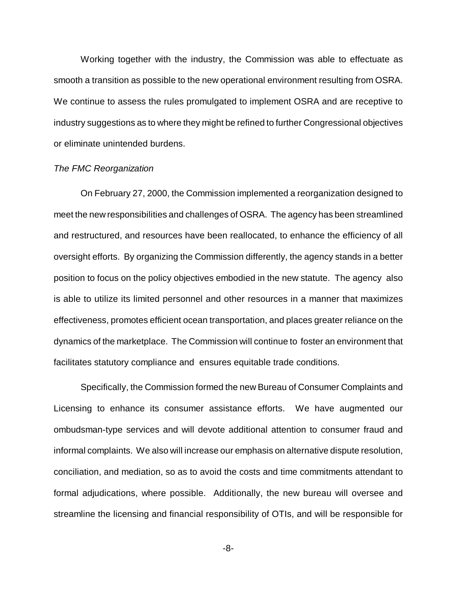Working together with the industry, the Commission was able to effectuate as smooth a transition as possible to the new operational environment resulting from OSRA. We continue to assess the rules promulgated to implement OSRA and are receptive to industry suggestions as to where they might be refined to further Congressional objectives or eliminate unintended burdens.

## *The FMC Reorganization*

On February 27, 2000, the Commission implemented a reorganization designed to meet the new responsibilities and challenges of OSRA. The agency has been streamlined and restructured, and resources have been reallocated, to enhance the efficiency of all oversight efforts. By organizing the Commission differently, the agency stands in a better position to focus on the policy objectives embodied in the new statute. The agency also is able to utilize its limited personnel and other resources in a manner that maximizes effectiveness, promotes efficient ocean transportation, and places greater reliance on the dynamics of the marketplace. The Commission will continue to foster an environment that facilitates statutory compliance and ensures equitable trade conditions.

Specifically, the Commission formed the new Bureau of Consumer Complaints and Licensing to enhance its consumer assistance efforts. We have augmented our ombudsman-type services and will devote additional attention to consumer fraud and informal complaints. We also will increase our emphasis on alternative dispute resolution, conciliation, and mediation, so as to avoid the costs and time commitments attendant to formal adjudications, where possible. Additionally, the new bureau will oversee and streamline the licensing and financial responsibility of OTIs, and will be responsible for

-8-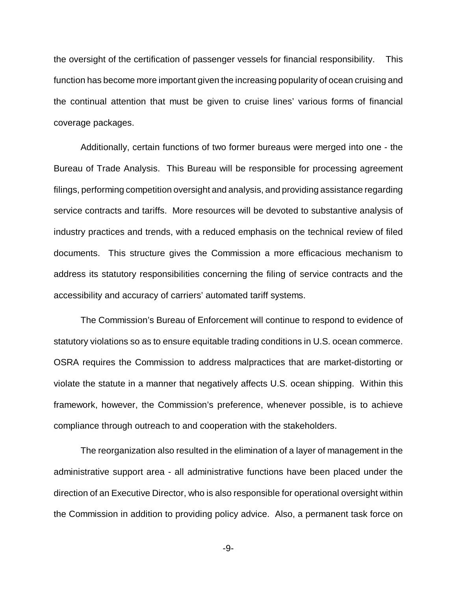the oversight of the certification of passenger vessels for financial responsibility. This function has become more important given the increasing popularity of ocean cruising and the continual attention that must be given to cruise lines' various forms of financial coverage packages.

Additionally, certain functions of two former bureaus were merged into one - the Bureau of Trade Analysis. This Bureau will be responsible for processing agreement filings, performing competition oversight and analysis, and providing assistance regarding service contracts and tariffs. More resources will be devoted to substantive analysis of industry practices and trends, with a reduced emphasis on the technical review of filed documents. This structure gives the Commission a more efficacious mechanism to address its statutory responsibilities concerning the filing of service contracts and the accessibility and accuracy of carriers' automated tariff systems.

The Commission's Bureau of Enforcement will continue to respond to evidence of statutory violations so as to ensure equitable trading conditions in U.S. ocean commerce. OSRA requires the Commission to address malpractices that are market-distorting or violate the statute in a manner that negatively affects U.S. ocean shipping. Within this framework, however, the Commission's preference, whenever possible, is to achieve compliance through outreach to and cooperation with the stakeholders.

The reorganization also resulted in the elimination of a layer of management in the administrative support area - all administrative functions have been placed under the direction of an Executive Director, who is also responsible for operational oversight within the Commission in addition to providing policy advice. Also, a permanent task force on

-9-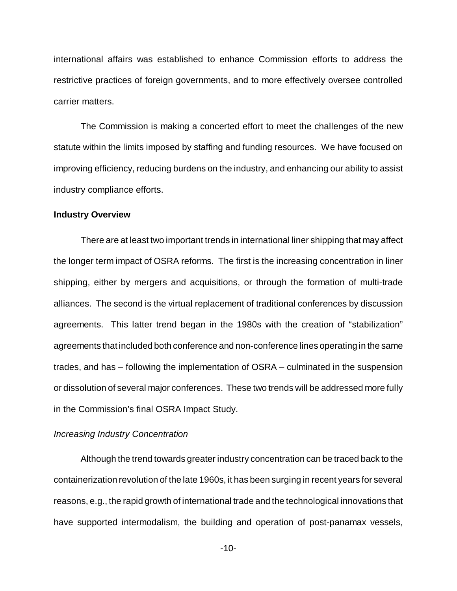international affairs was established to enhance Commission efforts to address the restrictive practices of foreign governments, and to more effectively oversee controlled carrier matters.

The Commission is making a concerted effort to meet the challenges of the new statute within the limits imposed by staffing and funding resources. We have focused on improving efficiency, reducing burdens on the industry, and enhancing our ability to assist industry compliance efforts.

### **Industry Overview**

There are at least two important trends in international liner shipping that may affect the longer term impact of OSRA reforms. The first is the increasing concentration in liner shipping, either by mergers and acquisitions, or through the formation of multi-trade alliances. The second is the virtual replacement of traditional conferences by discussion agreements. This latter trend began in the 1980s with the creation of "stabilization" agreements that included both conference and non-conference lines operating in the same trades, and has – following the implementation of OSRA – culminated in the suspension or dissolution of several major conferences. These two trends will be addressed more fully in the Commission's final OSRA Impact Study.

## *Increasing Industry Concentration*

Although the trend towards greater industry concentration can be traced back to the containerization revolution of the late 1960s, it has been surging in recent years for several reasons, e.g., the rapid growth of international trade and the technological innovations that have supported intermodalism, the building and operation of post-panamax vessels,

-10-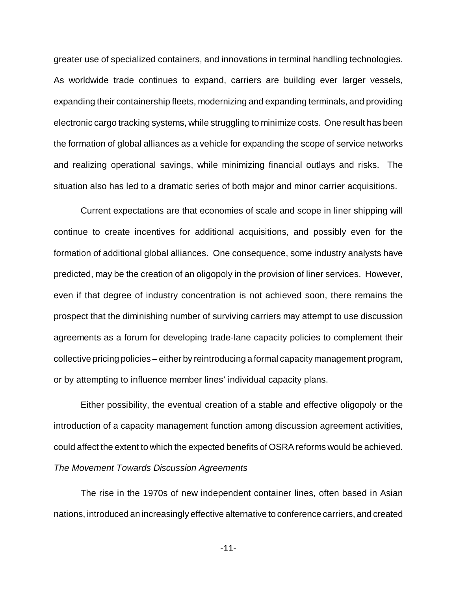greater use of specialized containers, and innovations in terminal handling technologies. As worldwide trade continues to expand, carriers are building ever larger vessels, expanding their containership fleets, modernizing and expanding terminals, and providing electronic cargo tracking systems, while struggling to minimize costs. One result has been the formation of global alliances as a vehicle for expanding the scope of service networks and realizing operational savings, while minimizing financial outlays and risks. The situation also has led to a dramatic series of both major and minor carrier acquisitions.

Current expectations are that economies of scale and scope in liner shipping will continue to create incentives for additional acquisitions, and possibly even for the formation of additional global alliances. One consequence, some industry analysts have predicted, may be the creation of an oligopoly in the provision of liner services. However, even if that degree of industry concentration is not achieved soon, there remains the prospect that the diminishing number of surviving carriers may attempt to use discussion agreements as a forum for developing trade-lane capacity policies to complement their collective pricing policies – either by reintroducing a formal capacity management program, or by attempting to influence member lines' individual capacity plans.

Either possibility, the eventual creation of a stable and effective oligopoly or the introduction of a capacity management function among discussion agreement activities, could affect the extent to which the expected benefits of OSRA reforms would be achieved. *The Movement Towards Discussion Agreements*

The rise in the 1970s of new independent container lines, often based in Asian nations, introduced an increasingly effective alternative to conference carriers, and created

-11-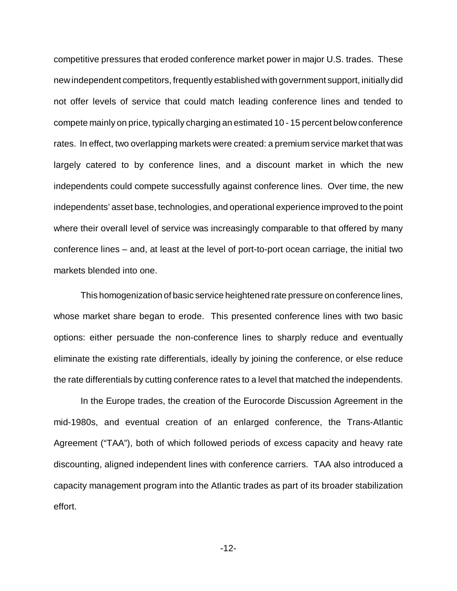competitive pressures that eroded conference market power in major U.S. trades. These new independent competitors, frequently established with government support, initially did not offer levels of service that could match leading conference lines and tended to compete mainly on price, typically charging an estimated 10 - 15 percent below conference rates. In effect, two overlapping markets were created: a premium service market that was largely catered to by conference lines, and a discount market in which the new independents could compete successfully against conference lines. Over time, the new independents' asset base, technologies, and operational experience improved to the point where their overall level of service was increasingly comparable to that offered by many conference lines – and, at least at the level of port-to-port ocean carriage, the initial two markets blended into one.

This homogenization of basic service heightened rate pressure on conference lines, whose market share began to erode. This presented conference lines with two basic options: either persuade the non-conference lines to sharply reduce and eventually eliminate the existing rate differentials, ideally by joining the conference, or else reduce the rate differentials by cutting conference rates to a level that matched the independents.

In the Europe trades, the creation of the Eurocorde Discussion Agreement in the mid-1980s, and eventual creation of an enlarged conference, the Trans-Atlantic Agreement ("TAA"), both of which followed periods of excess capacity and heavy rate discounting, aligned independent lines with conference carriers. TAA also introduced a capacity management program into the Atlantic trades as part of its broader stabilization effort.

-12-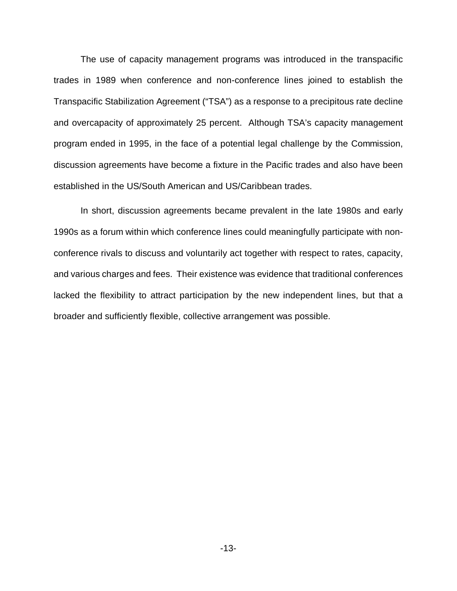The use of capacity management programs was introduced in the transpacific trades in 1989 when conference and non-conference lines joined to establish the Transpacific Stabilization Agreement ("TSA") as a response to a precipitous rate decline and overcapacity of approximately 25 percent. Although TSA's capacity management program ended in 1995, in the face of a potential legal challenge by the Commission, discussion agreements have become a fixture in the Pacific trades and also have been established in the US/South American and US/Caribbean trades.

In short, discussion agreements became prevalent in the late 1980s and early 1990s as a forum within which conference lines could meaningfully participate with nonconference rivals to discuss and voluntarily act together with respect to rates, capacity, and various charges and fees. Their existence was evidence that traditional conferences lacked the flexibility to attract participation by the new independent lines, but that a broader and sufficiently flexible, collective arrangement was possible.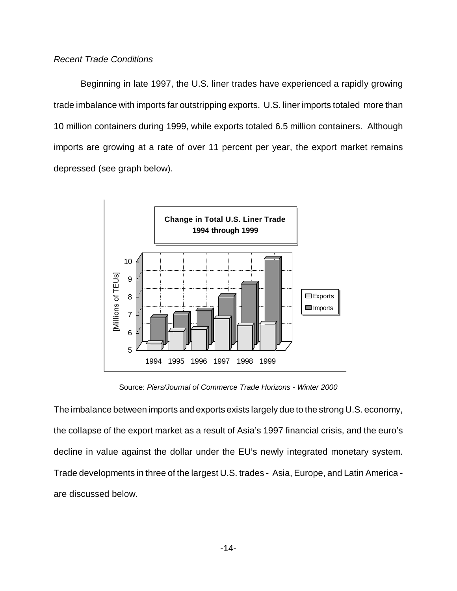## *Recent Trade Conditions*

Beginning in late 1997, the U.S. liner trades have experienced a rapidly growing trade imbalance with imports far outstripping exports. U.S. liner imports totaled more than 10 million containers during 1999, while exports totaled 6.5 million containers. Although imports are growing at a rate of over 11 percent per year, the export market remains depressed (see graph below).



Source: *Piers/Journal of Commerce Trade Horizons - Winter 2000*

The imbalance between imports and exports exists largely due to the strong U.S. economy, the collapse of the export market as a result of Asia's 1997 financial crisis, and the euro's decline in value against the dollar under the EU's newly integrated monetary system. Trade developments in three of the largest U.S. trades - Asia, Europe, and Latin America are discussed below.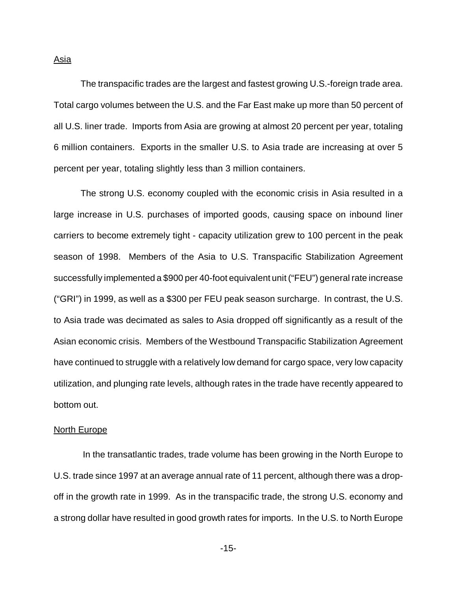The transpacific trades are the largest and fastest growing U.S.-foreign trade area. Total cargo volumes between the U.S. and the Far East make up more than 50 percent of all U.S. liner trade. Imports from Asia are growing at almost 20 percent per year, totaling 6 million containers. Exports in the smaller U.S. to Asia trade are increasing at over 5 percent per year, totaling slightly less than 3 million containers.

The strong U.S. economy coupled with the economic crisis in Asia resulted in a large increase in U.S. purchases of imported goods, causing space on inbound liner carriers to become extremely tight - capacity utilization grew to 100 percent in the peak season of 1998. Members of the Asia to U.S. Transpacific Stabilization Agreement successfully implemented a \$900 per 40-foot equivalent unit ("FEU") general rate increase ("GRI") in 1999, as well as a \$300 per FEU peak season surcharge. In contrast, the U.S. to Asia trade was decimated as sales to Asia dropped off significantly as a result of the Asian economic crisis. Members of the Westbound Transpacific Stabilization Agreement have continued to struggle with a relatively low demand for cargo space, very low capacity utilization, and plunging rate levels, although rates in the trade have recently appeared to bottom out.

#### **North Europe**

 In the transatlantic trades, trade volume has been growing in the North Europe to U.S. trade since 1997 at an average annual rate of 11 percent, although there was a dropoff in the growth rate in 1999. As in the transpacific trade, the strong U.S. economy and a strong dollar have resulted in good growth rates for imports. In the U.S. to North Europe

Asia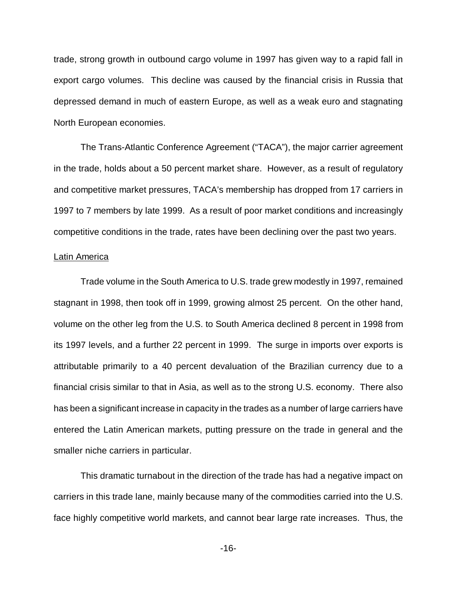trade, strong growth in outbound cargo volume in 1997 has given way to a rapid fall in export cargo volumes. This decline was caused by the financial crisis in Russia that depressed demand in much of eastern Europe, as well as a weak euro and stagnating North European economies.

The Trans-Atlantic Conference Agreement ("TACA"), the major carrier agreement in the trade, holds about a 50 percent market share. However, as a result of regulatory and competitive market pressures, TACA's membership has dropped from 17 carriers in 1997 to 7 members by late 1999. As a result of poor market conditions and increasingly competitive conditions in the trade, rates have been declining over the past two years.

## Latin America

Trade volume in the South America to U.S. trade grew modestly in 1997, remained stagnant in 1998, then took off in 1999, growing almost 25 percent. On the other hand, volume on the other leg from the U.S. to South America declined 8 percent in 1998 from its 1997 levels, and a further 22 percent in 1999. The surge in imports over exports is attributable primarily to a 40 percent devaluation of the Brazilian currency due to a financial crisis similar to that in Asia, as well as to the strong U.S. economy. There also has been a significant increase in capacity in the trades as a number of large carriers have entered the Latin American markets, putting pressure on the trade in general and the smaller niche carriers in particular.

This dramatic turnabout in the direction of the trade has had a negative impact on carriers in this trade lane, mainly because many of the commodities carried into the U.S. face highly competitive world markets, and cannot bear large rate increases. Thus, the

-16-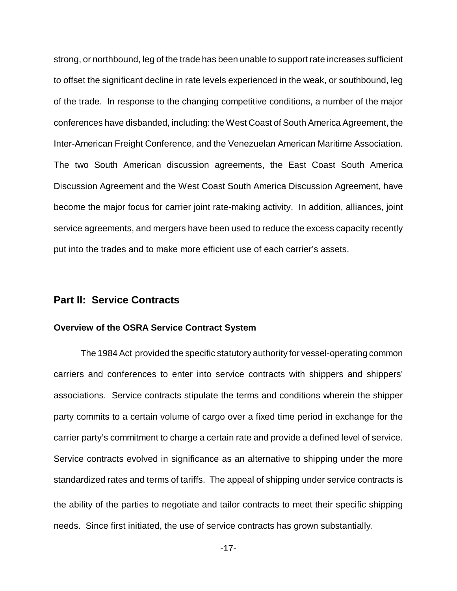strong, or northbound, leg of the trade has been unable to support rate increases sufficient to offset the significant decline in rate levels experienced in the weak, or southbound, leg of the trade. In response to the changing competitive conditions, a number of the major conferences have disbanded, including: the West Coast of South America Agreement, the Inter-American Freight Conference, and the Venezuelan American Maritime Association. The two South American discussion agreements, the East Coast South America Discussion Agreement and the West Coast South America Discussion Agreement, have become the major focus for carrier joint rate-making activity. In addition, alliances, joint service agreements, and mergers have been used to reduce the excess capacity recently put into the trades and to make more efficient use of each carrier's assets.

## **Part II: Service Contracts**

## **Overview of the OSRA Service Contract System**

The 1984 Act provided the specific statutory authority for vessel-operating common carriers and conferences to enter into service contracts with shippers and shippers' associations. Service contracts stipulate the terms and conditions wherein the shipper party commits to a certain volume of cargo over a fixed time period in exchange for the carrier party's commitment to charge a certain rate and provide a defined level of service. Service contracts evolved in significance as an alternative to shipping under the more standardized rates and terms of tariffs. The appeal of shipping under service contracts is the ability of the parties to negotiate and tailor contracts to meet their specific shipping needs. Since first initiated, the use of service contracts has grown substantially.

-17-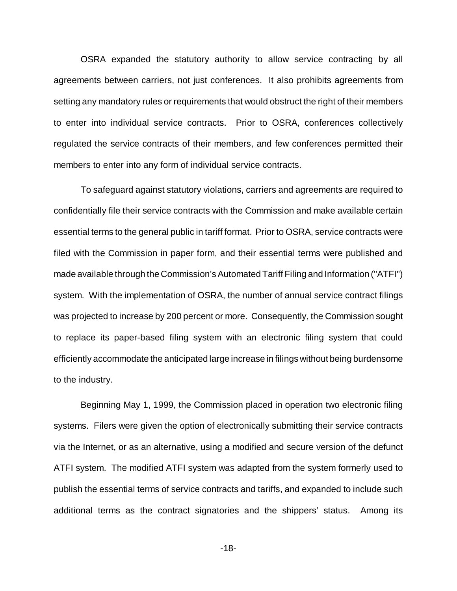OSRA expanded the statutory authority to allow service contracting by all agreements between carriers, not just conferences. It also prohibits agreements from setting any mandatory rules or requirements that would obstruct the right of their members to enter into individual service contracts. Prior to OSRA, conferences collectively regulated the service contracts of their members, and few conferences permitted their members to enter into any form of individual service contracts.

To safeguard against statutory violations, carriers and agreements are required to confidentially file their service contracts with the Commission and make available certain essential terms to the general public in tariff format. Prior to OSRA, service contracts were filed with the Commission in paper form, and their essential terms were published and made available through the Commission's Automated Tariff Filing and Information ("ATFI") system. With the implementation of OSRA, the number of annual service contract filings was projected to increase by 200 percent or more. Consequently, the Commission sought to replace its paper-based filing system with an electronic filing system that could efficiently accommodate the anticipated large increase in filings without being burdensome to the industry.

Beginning May 1, 1999, the Commission placed in operation two electronic filing systems. Filers were given the option of electronically submitting their service contracts via the Internet, or as an alternative, using a modified and secure version of the defunct ATFI system. The modified ATFI system was adapted from the system formerly used to publish the essential terms of service contracts and tariffs, and expanded to include such additional terms as the contract signatories and the shippers' status. Among its

-18-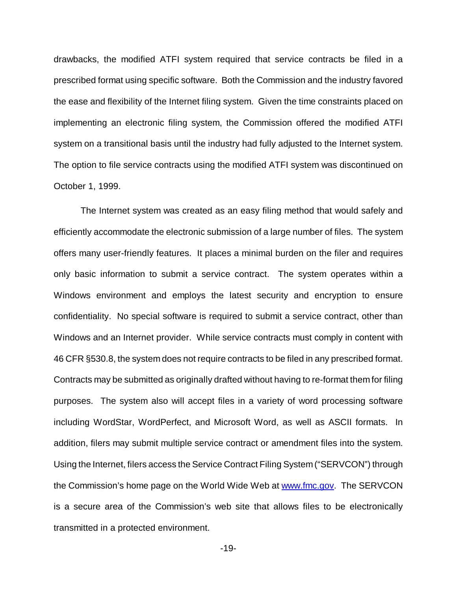drawbacks, the modified ATFI system required that service contracts be filed in a prescribed format using specific software. Both the Commission and the industry favored the ease and flexibility of the Internet filing system. Given the time constraints placed on implementing an electronic filing system, the Commission offered the modified ATFI system on a transitional basis until the industry had fully adjusted to the Internet system. The option to file service contracts using the modified ATFI system was discontinued on October 1, 1999.

The Internet system was created as an easy filing method that would safely and efficiently accommodate the electronic submission of a large number of files. The system offers many user-friendly features. It places a minimal burden on the filer and requires only basic information to submit a service contract. The system operates within a Windows environment and employs the latest security and encryption to ensure confidentiality. No special software is required to submit a service contract, other than Windows and an Internet provider. While service contracts must comply in content with 46 CFR §530.8, the system does not require contracts to be filed in any prescribed format. Contracts may be submitted as originally drafted without having to re-format them for filing purposes. The system also will accept files in a variety of word processing software including WordStar, WordPerfect, and Microsoft Word, as well as ASCII formats. In addition, filers may submit multiple service contract or amendment files into the system. Using the Internet, filers access the Service Contract Filing System ("SERVCON") through the Commission's home page on the World Wide Web at www.fmc.gov. The SERVCON is a secure area of the Commission's web site that allows files to be electronically transmitted in a protected environment.

-19-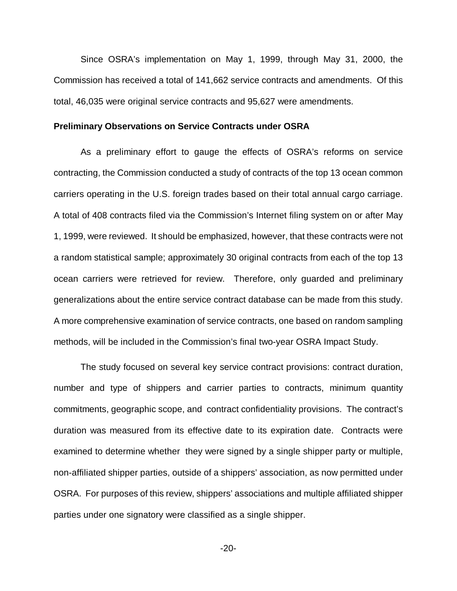Since OSRA's implementation on May 1, 1999, through May 31, 2000, the Commission has received a total of 141,662 service contracts and amendments. Of this total, 46,035 were original service contracts and 95,627 were amendments.

#### **Preliminary Observations on Service Contracts under OSRA**

As a preliminary effort to gauge the effects of OSRA's reforms on service contracting, the Commission conducted a study of contracts of the top 13 ocean common carriers operating in the U.S. foreign trades based on their total annual cargo carriage. A total of 408 contracts filed via the Commission's Internet filing system on or after May 1, 1999, were reviewed. It should be emphasized, however, that these contracts were not a random statistical sample; approximately 30 original contracts from each of the top 13 ocean carriers were retrieved for review. Therefore, only guarded and preliminary generalizations about the entire service contract database can be made from this study. A more comprehensive examination of service contracts, one based on random sampling methods, will be included in the Commission's final two-year OSRA Impact Study.

The study focused on several key service contract provisions: contract duration, number and type of shippers and carrier parties to contracts, minimum quantity commitments, geographic scope, and contract confidentiality provisions. The contract's duration was measured from its effective date to its expiration date. Contracts were examined to determine whether they were signed by a single shipper party or multiple, non-affiliated shipper parties, outside of a shippers' association, as now permitted under OSRA. For purposes of this review, shippers' associations and multiple affiliated shipper parties under one signatory were classified as a single shipper.

-20-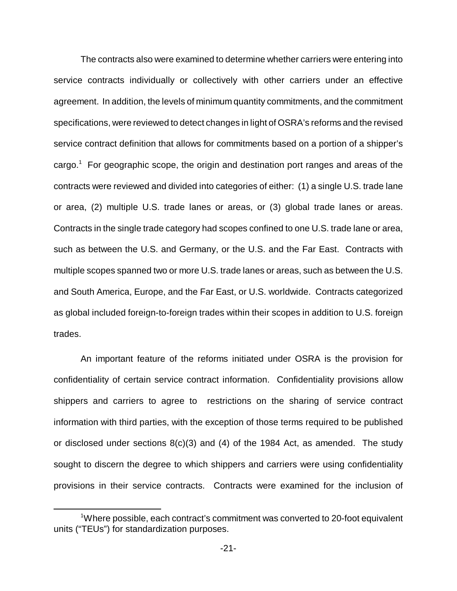The contracts also were examined to determine whether carriers were entering into service contracts individually or collectively with other carriers under an effective agreement. In addition, the levels of minimum quantity commitments, and the commitment specifications, were reviewed to detect changes in light of OSRA's reforms and the revised service contract definition that allows for commitments based on a portion of a shipper's cargo.<sup>1</sup> For geographic scope, the origin and destination port ranges and areas of the contracts were reviewed and divided into categories of either: (1) a single U.S. trade lane or area, (2) multiple U.S. trade lanes or areas, or (3) global trade lanes or areas. Contracts in the single trade category had scopes confined to one U.S. trade lane or area, such as between the U.S. and Germany, or the U.S. and the Far East. Contracts with multiple scopes spanned two or more U.S. trade lanes or areas, such as between the U.S. and South America, Europe, and the Far East, or U.S. worldwide. Contracts categorized as global included foreign-to-foreign trades within their scopes in addition to U.S. foreign trades.

An important feature of the reforms initiated under OSRA is the provision for confidentiality of certain service contract information. Confidentiality provisions allow shippers and carriers to agree to restrictions on the sharing of service contract information with third parties, with the exception of those terms required to be published or disclosed under sections 8(c)(3) and (4) of the 1984 Act, as amended. The study sought to discern the degree to which shippers and carriers were using confidentiality provisions in their service contracts. Contracts were examined for the inclusion of

<sup>1</sup>Where possible, each contract's commitment was converted to 20-foot equivalent units ("TEUs") for standardization purposes.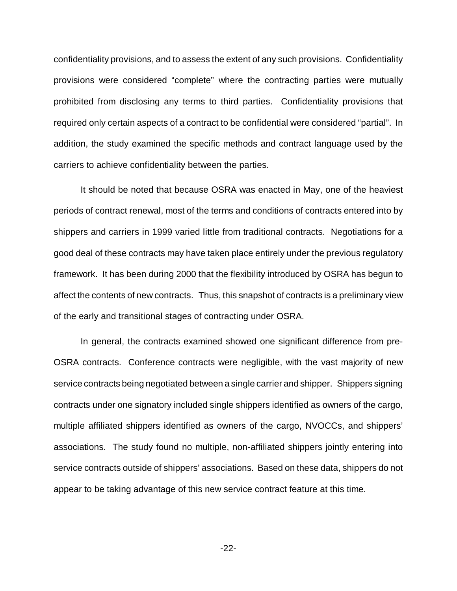confidentiality provisions, and to assess the extent of any such provisions. Confidentiality provisions were considered "complete" where the contracting parties were mutually prohibited from disclosing any terms to third parties. Confidentiality provisions that required only certain aspects of a contract to be confidential were considered "partial". In addition, the study examined the specific methods and contract language used by the carriers to achieve confidentiality between the parties.

It should be noted that because OSRA was enacted in May, one of the heaviest periods of contract renewal, most of the terms and conditions of contracts entered into by shippers and carriers in 1999 varied little from traditional contracts. Negotiations for a good deal of these contracts may have taken place entirely under the previous regulatory framework. It has been during 2000 that the flexibility introduced by OSRA has begun to affect the contents of new contracts. Thus, this snapshot of contracts is a preliminary view of the early and transitional stages of contracting under OSRA.

In general, the contracts examined showed one significant difference from pre-OSRA contracts. Conference contracts were negligible, with the vast majority of new service contracts being negotiated between a single carrier and shipper. Shippers signing contracts under one signatory included single shippers identified as owners of the cargo, multiple affiliated shippers identified as owners of the cargo, NVOCCs, and shippers' associations. The study found no multiple, non-affiliated shippers jointly entering into service contracts outside of shippers' associations. Based on these data, shippers do not appear to be taking advantage of this new service contract feature at this time.

-22-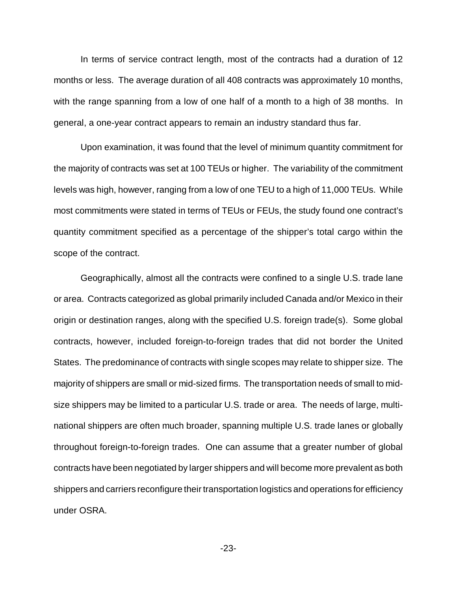In terms of service contract length, most of the contracts had a duration of 12 months or less. The average duration of all 408 contracts was approximately 10 months, with the range spanning from a low of one half of a month to a high of 38 months. In general, a one-year contract appears to remain an industry standard thus far.

Upon examination, it was found that the level of minimum quantity commitment for the majority of contracts was set at 100 TEUs or higher. The variability of the commitment levels was high, however, ranging from a low of one TEU to a high of 11,000 TEUs. While most commitments were stated in terms of TEUs or FEUs, the study found one contract's quantity commitment specified as a percentage of the shipper's total cargo within the scope of the contract.

Geographically, almost all the contracts were confined to a single U.S. trade lane or area. Contracts categorized as global primarily included Canada and/or Mexico in their origin or destination ranges, along with the specified U.S. foreign trade(s). Some global contracts, however, included foreign-to-foreign trades that did not border the United States. The predominance of contracts with single scopes may relate to shipper size. The majority of shippers are small or mid-sized firms. The transportation needs of small to midsize shippers may be limited to a particular U.S. trade or area. The needs of large, multinational shippers are often much broader, spanning multiple U.S. trade lanes or globally throughout foreign-to-foreign trades. One can assume that a greater number of global contracts have been negotiated by larger shippers and will become more prevalent as both shippers and carriers reconfigure their transportation logistics and operations for efficiency under OSRA.

-23-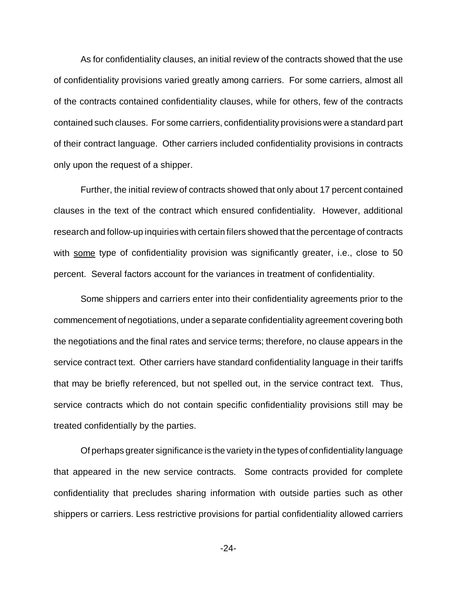As for confidentiality clauses, an initial review of the contracts showed that the use of confidentiality provisions varied greatly among carriers. For some carriers, almost all of the contracts contained confidentiality clauses, while for others, few of the contracts contained such clauses. For some carriers, confidentiality provisions were a standard part of their contract language. Other carriers included confidentiality provisions in contracts only upon the request of a shipper.

Further, the initial review of contracts showed that only about 17 percent contained clauses in the text of the contract which ensured confidentiality. However, additional research and follow-up inquiries with certain filers showed that the percentage of contracts with some type of confidentiality provision was significantly greater, i.e., close to 50 percent. Several factors account for the variances in treatment of confidentiality.

Some shippers and carriers enter into their confidentiality agreements prior to the commencement of negotiations, under a separate confidentiality agreement covering both the negotiations and the final rates and service terms; therefore, no clause appears in the service contract text. Other carriers have standard confidentiality language in their tariffs that may be briefly referenced, but not spelled out, in the service contract text. Thus, service contracts which do not contain specific confidentiality provisions still may be treated confidentially by the parties.

Of perhaps greater significance is the variety in the types of confidentiality language that appeared in the new service contracts. Some contracts provided for complete confidentiality that precludes sharing information with outside parties such as other shippers or carriers. Less restrictive provisions for partial confidentiality allowed carriers

-24-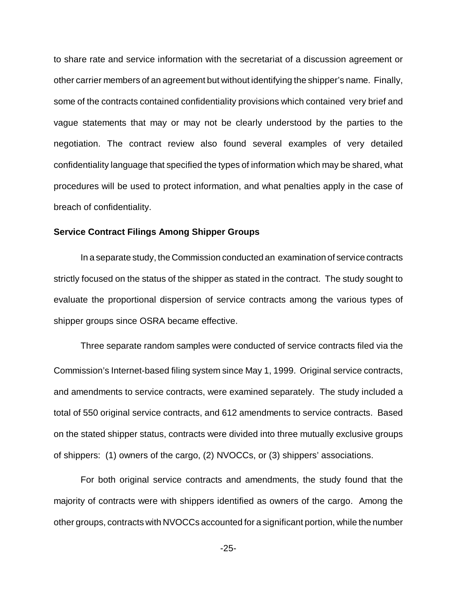to share rate and service information with the secretariat of a discussion agreement or other carrier members of an agreement but without identifying the shipper's name. Finally, some of the contracts contained confidentiality provisions which contained very brief and vague statements that may or may not be clearly understood by the parties to the negotiation. The contract review also found several examples of very detailed confidentiality language that specified the types of information which may be shared, what procedures will be used to protect information, and what penalties apply in the case of breach of confidentiality.

## **Service Contract Filings Among Shipper Groups**

In a separate study, the Commission conducted an examination of service contracts strictly focused on the status of the shipper as stated in the contract. The study sought to evaluate the proportional dispersion of service contracts among the various types of shipper groups since OSRA became effective.

Three separate random samples were conducted of service contracts filed via the Commission's Internet-based filing system since May 1, 1999. Original service contracts, and amendments to service contracts, were examined separately. The study included a total of 550 original service contracts, and 612 amendments to service contracts. Based on the stated shipper status, contracts were divided into three mutually exclusive groups of shippers: (1) owners of the cargo, (2) NVOCCs, or (3) shippers' associations.

For both original service contracts and amendments, the study found that the majority of contracts were with shippers identified as owners of the cargo. Among the other groups, contracts with NVOCCs accounted for a significant portion, while the number

-25-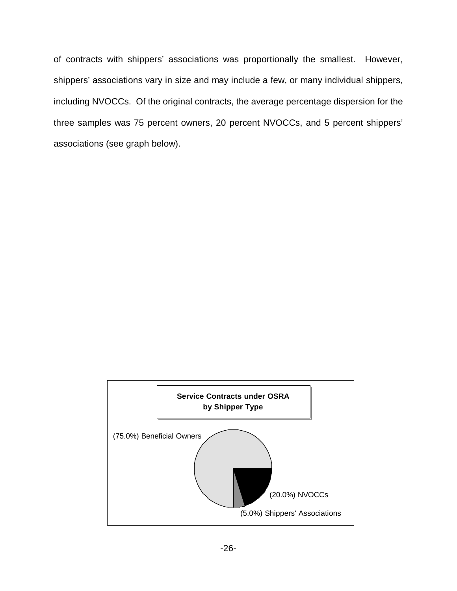of contracts with shippers' associations was proportionally the smallest. However, shippers' associations vary in size and may include a few, or many individual shippers, including NVOCCs. Of the original contracts, the average percentage dispersion for the three samples was 75 percent owners, 20 percent NVOCCs, and 5 percent shippers' associations (see graph below).

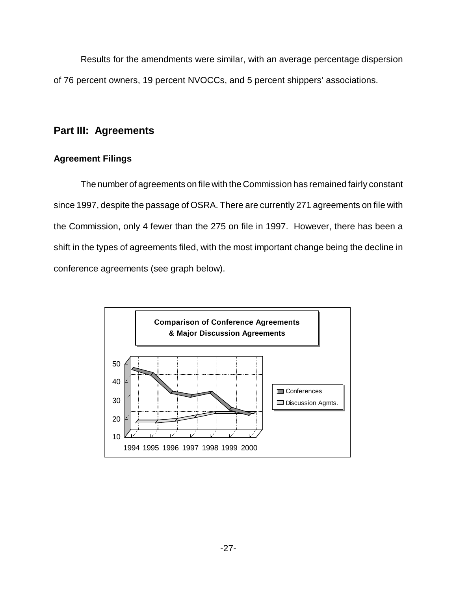Results for the amendments were similar, with an average percentage dispersion of 76 percent owners, 19 percent NVOCCs, and 5 percent shippers' associations.

## **Part III: Agreements**

## **Agreement Filings**

The number of agreements on file with the Commission has remained fairly constant since 1997, despite the passage of OSRA. There are currently 271 agreements on file with the Commission, only 4 fewer than the 275 on file in 1997. However, there has been a shift in the types of agreements filed, with the most important change being the decline in conference agreements (see graph below).

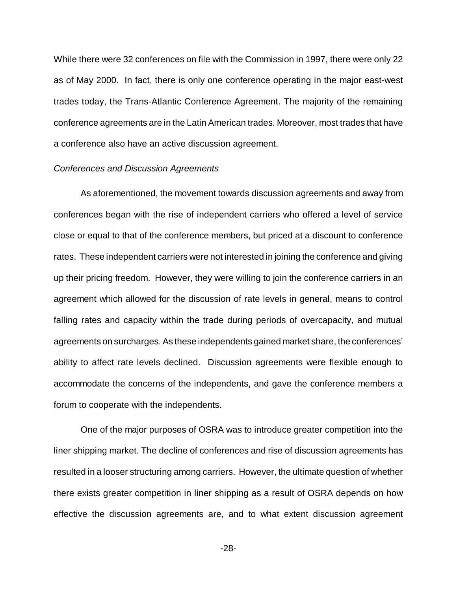While there were 32 conferences on file with the Commission in 1997, there were only 22 as of May 2000. In fact, there is only one conference operating in the major east-west trades today, the Trans-Atlantic Conference Agreement. The majority of the remaining conference agreements are in the Latin American trades. Moreover, most trades that have a conference also have an active discussion agreement.

## *Conferences and Discussion Agreements*

As aforementioned, the movement towards discussion agreements and away from conferences began with the rise of independent carriers who offered a level of service close or equal to that of the conference members, but priced at a discount to conference rates. These independent carriers were not interested in joining the conference and giving up their pricing freedom. However, they were willing to join the conference carriers in an agreement which allowed for the discussion of rate levels in general, means to control falling rates and capacity within the trade during periods of overcapacity, and mutual agreements on surcharges. As these independents gained market share, the conferences' ability to affect rate levels declined. Discussion agreements were flexible enough to accommodate the concerns of the independents, and gave the conference members a forum to cooperate with the independents.

One of the major purposes of OSRA was to introduce greater competition into the liner shipping market. The decline of conferences and rise of discussion agreements has resulted in a looser structuring among carriers. However, the ultimate question of whether there exists greater competition in liner shipping as a result of OSRA depends on how effective the discussion agreements are, and to what extent discussion agreement

-28-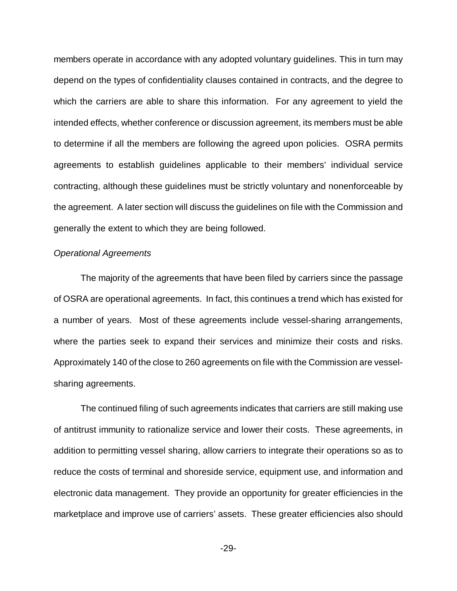members operate in accordance with any adopted voluntary guidelines. This in turn may depend on the types of confidentiality clauses contained in contracts, and the degree to which the carriers are able to share this information. For any agreement to yield the intended effects, whether conference or discussion agreement, its members must be able to determine if all the members are following the agreed upon policies. OSRA permits agreements to establish guidelines applicable to their members' individual service contracting, although these guidelines must be strictly voluntary and nonenforceable by the agreement. A later section will discuss the guidelines on file with the Commission and generally the extent to which they are being followed.

## *Operational Agreements*

The majority of the agreements that have been filed by carriers since the passage of OSRA are operational agreements. In fact, this continues a trend which has existed for a number of years. Most of these agreements include vessel-sharing arrangements, where the parties seek to expand their services and minimize their costs and risks. Approximately 140 of the close to 260 agreements on file with the Commission are vesselsharing agreements.

The continued filing of such agreements indicates that carriers are still making use of antitrust immunity to rationalize service and lower their costs. These agreements, in addition to permitting vessel sharing, allow carriers to integrate their operations so as to reduce the costs of terminal and shoreside service, equipment use, and information and electronic data management. They provide an opportunity for greater efficiencies in the marketplace and improve use of carriers' assets. These greater efficiencies also should

-29-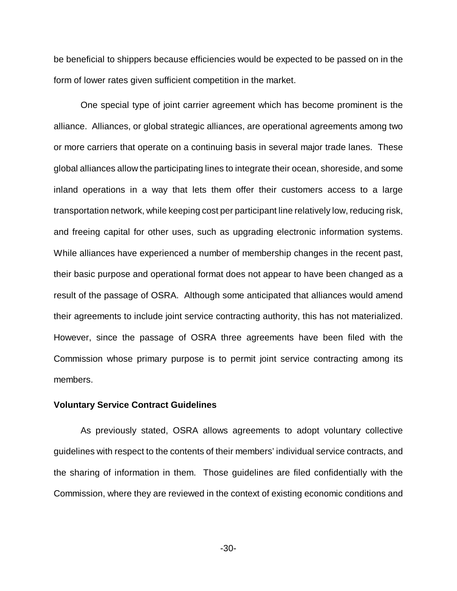be beneficial to shippers because efficiencies would be expected to be passed on in the form of lower rates given sufficient competition in the market.

One special type of joint carrier agreement which has become prominent is the alliance. Alliances, or global strategic alliances, are operational agreements among two or more carriers that operate on a continuing basis in several major trade lanes. These global alliances allow the participating lines to integrate their ocean, shoreside, and some inland operations in a way that lets them offer their customers access to a large transportation network, while keeping cost per participant line relatively low, reducing risk, and freeing capital for other uses, such as upgrading electronic information systems. While alliances have experienced a number of membership changes in the recent past, their basic purpose and operational format does not appear to have been changed as a result of the passage of OSRA. Although some anticipated that alliances would amend their agreements to include joint service contracting authority, this has not materialized. However, since the passage of OSRA three agreements have been filed with the Commission whose primary purpose is to permit joint service contracting among its members.

#### **Voluntary Service Contract Guidelines**

As previously stated, OSRA allows agreements to adopt voluntary collective guidelines with respect to the contents of their members' individual service contracts, and the sharing of information in them. Those guidelines are filed confidentially with the Commission, where they are reviewed in the context of existing economic conditions and

-30-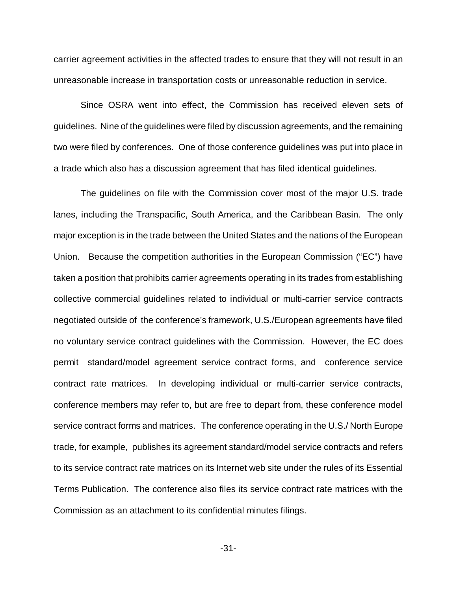carrier agreement activities in the affected trades to ensure that they will not result in an unreasonable increase in transportation costs or unreasonable reduction in service.

Since OSRA went into effect, the Commission has received eleven sets of guidelines. Nine of the guidelines were filed by discussion agreements, and the remaining two were filed by conferences. One of those conference guidelines was put into place in a trade which also has a discussion agreement that has filed identical guidelines.

The guidelines on file with the Commission cover most of the major U.S. trade lanes, including the Transpacific, South America, and the Caribbean Basin. The only major exception is in the trade between the United States and the nations of the European Union. Because the competition authorities in the European Commission ("EC") have taken a position that prohibits carrier agreements operating in its trades from establishing collective commercial guidelines related to individual or multi-carrier service contracts negotiated outside of the conference's framework, U.S./European agreements have filed no voluntary service contract guidelines with the Commission. However, the EC does permit standard/model agreement service contract forms, and conference service contract rate matrices. In developing individual or multi-carrier service contracts, conference members may refer to, but are free to depart from, these conference model service contract forms and matrices. The conference operating in the U.S./ North Europe trade, for example, publishes its agreement standard/model service contracts and refers to its service contract rate matrices on its Internet web site under the rules of its Essential Terms Publication. The conference also files its service contract rate matrices with the Commission as an attachment to its confidential minutes filings.

-31-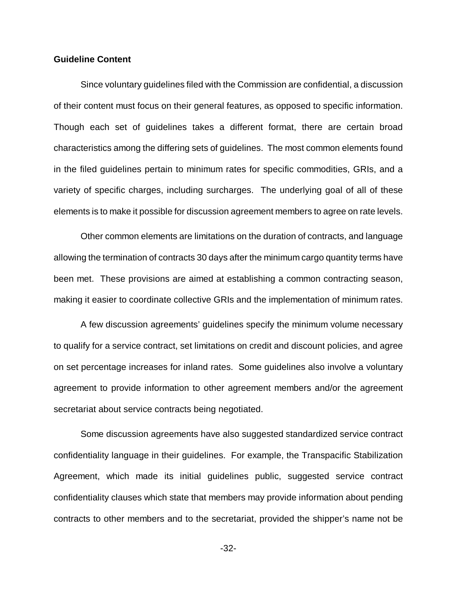## **Guideline Content**

Since voluntary guidelines filed with the Commission are confidential, a discussion of their content must focus on their general features, as opposed to specific information. Though each set of guidelines takes a different format, there are certain broad characteristics among the differing sets of guidelines. The most common elements found in the filed guidelines pertain to minimum rates for specific commodities, GRIs, and a variety of specific charges, including surcharges. The underlying goal of all of these elements is to make it possible for discussion agreement members to agree on rate levels.

Other common elements are limitations on the duration of contracts, and language allowing the termination of contracts 30 days after the minimum cargo quantity terms have been met. These provisions are aimed at establishing a common contracting season, making it easier to coordinate collective GRIs and the implementation of minimum rates.

A few discussion agreements' guidelines specify the minimum volume necessary to qualify for a service contract, set limitations on credit and discount policies, and agree on set percentage increases for inland rates. Some guidelines also involve a voluntary agreement to provide information to other agreement members and/or the agreement secretariat about service contracts being negotiated.

Some discussion agreements have also suggested standardized service contract confidentiality language in their guidelines. For example, the Transpacific Stabilization Agreement, which made its initial guidelines public, suggested service contract confidentiality clauses which state that members may provide information about pending contracts to other members and to the secretariat, provided the shipper's name not be

-32-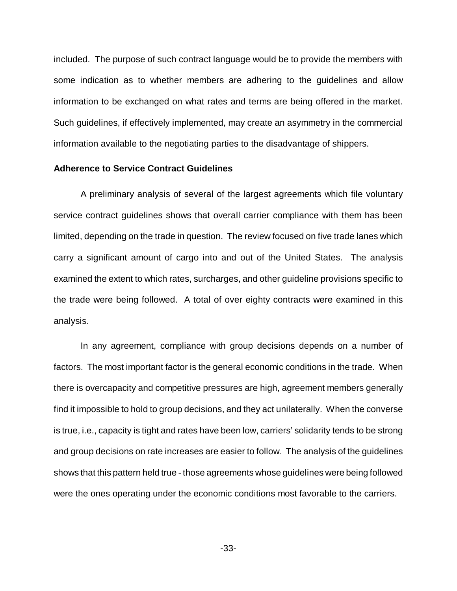included. The purpose of such contract language would be to provide the members with some indication as to whether members are adhering to the guidelines and allow information to be exchanged on what rates and terms are being offered in the market. Such guidelines, if effectively implemented, may create an asymmetry in the commercial information available to the negotiating parties to the disadvantage of shippers.

## **Adherence to Service Contract Guidelines**

A preliminary analysis of several of the largest agreements which file voluntary service contract guidelines shows that overall carrier compliance with them has been limited, depending on the trade in question. The review focused on five trade lanes which carry a significant amount of cargo into and out of the United States. The analysis examined the extent to which rates, surcharges, and other guideline provisions specific to the trade were being followed. A total of over eighty contracts were examined in this analysis.

In any agreement, compliance with group decisions depends on a number of factors. The most important factor is the general economic conditions in the trade. When there is overcapacity and competitive pressures are high, agreement members generally find it impossible to hold to group decisions, and they act unilaterally. When the converse is true, i.e., capacity is tight and rates have been low, carriers' solidarity tends to be strong and group decisions on rate increases are easier to follow. The analysis of the guidelines shows that this pattern held true - those agreements whose guidelines were being followed were the ones operating under the economic conditions most favorable to the carriers.

-33-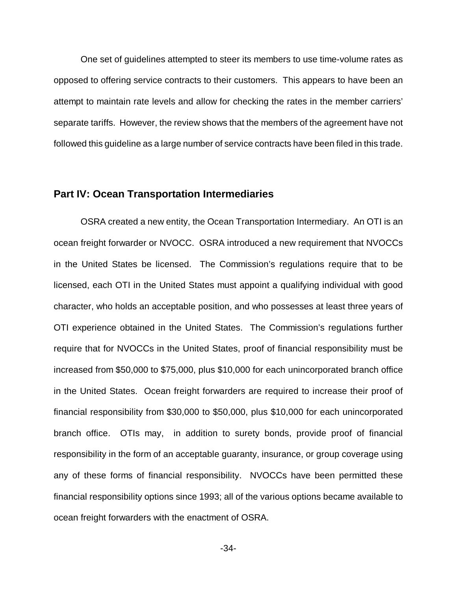One set of guidelines attempted to steer its members to use time-volume rates as opposed to offering service contracts to their customers. This appears to have been an attempt to maintain rate levels and allow for checking the rates in the member carriers' separate tariffs. However, the review shows that the members of the agreement have not followed this guideline as a large number of service contracts have been filed in this trade.

## **Part IV: Ocean Transportation Intermediaries**

OSRA created a new entity, the Ocean Transportation Intermediary. An OTI is an ocean freight forwarder or NVOCC. OSRA introduced a new requirement that NVOCCs in the United States be licensed. The Commission's regulations require that to be licensed, each OTI in the United States must appoint a qualifying individual with good character, who holds an acceptable position, and who possesses at least three years of OTI experience obtained in the United States. The Commission's regulations further require that for NVOCCs in the United States, proof of financial responsibility must be increased from \$50,000 to \$75,000, plus \$10,000 for each unincorporated branch office in the United States. Ocean freight forwarders are required to increase their proof of financial responsibility from \$30,000 to \$50,000, plus \$10,000 for each unincorporated branch office. OTIs may, in addition to surety bonds, provide proof of financial responsibility in the form of an acceptable guaranty, insurance, or group coverage using any of these forms of financial responsibility. NVOCCs have been permitted these financial responsibility options since 1993; all of the various options became available to ocean freight forwarders with the enactment of OSRA.

-34-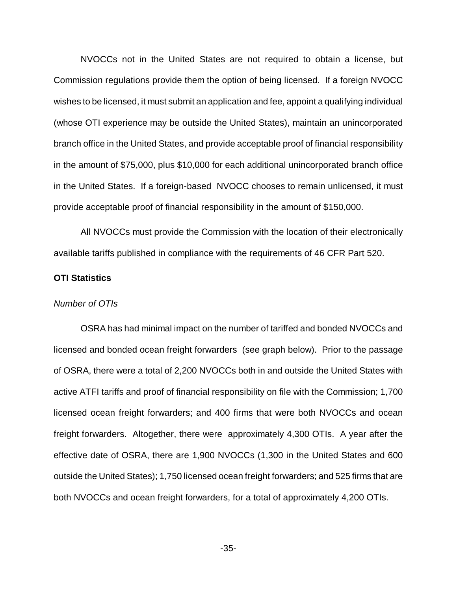NVOCCs not in the United States are not required to obtain a license, but Commission regulations provide them the option of being licensed. If a foreign NVOCC wishes to be licensed, it must submit an application and fee, appoint a qualifying individual (whose OTI experience may be outside the United States), maintain an unincorporated branch office in the United States, and provide acceptable proof of financial responsibility in the amount of \$75,000, plus \$10,000 for each additional unincorporated branch office in the United States. If a foreign-based NVOCC chooses to remain unlicensed, it must provide acceptable proof of financial responsibility in the amount of \$150,000.

All NVOCCs must provide the Commission with the location of their electronically available tariffs published in compliance with the requirements of 46 CFR Part 520.

## **OTI Statistics**

## *Number of OTIs*

OSRA has had minimal impact on the number of tariffed and bonded NVOCCs and licensed and bonded ocean freight forwarders (see graph below). Prior to the passage of OSRA, there were a total of 2,200 NVOCCs both in and outside the United States with active ATFI tariffs and proof of financial responsibility on file with the Commission; 1,700 licensed ocean freight forwarders; and 400 firms that were both NVOCCs and ocean freight forwarders. Altogether, there were approximately 4,300 OTIs. A year after the effective date of OSRA, there are 1,900 NVOCCs (1,300 in the United States and 600 outside the United States); 1,750 licensed ocean freight forwarders; and 525 firms that are both NVOCCs and ocean freight forwarders, for a total of approximately 4,200 OTIs.

-35-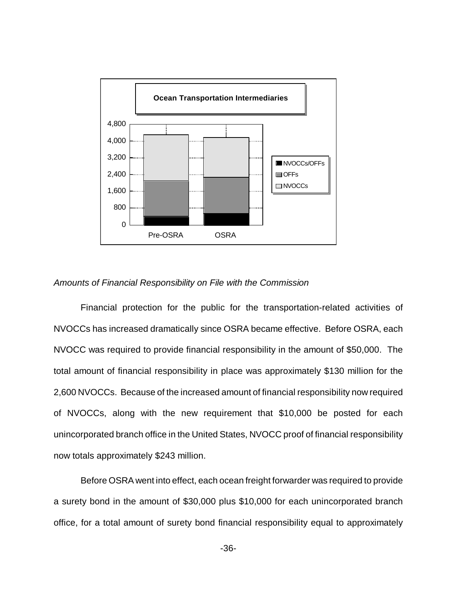

## *Amounts of Financial Responsibility on File with the Commission*

Financial protection for the public for the transportation-related activities of NVOCCs has increased dramatically since OSRA became effective. Before OSRA, each NVOCC was required to provide financial responsibility in the amount of \$50,000. The total amount of financial responsibility in place was approximately \$130 million for the 2,600 NVOCCs. Because of the increased amount of financial responsibility now required of NVOCCs, along with the new requirement that \$10,000 be posted for each unincorporated branch office in the United States, NVOCC proof of financial responsibility now totals approximately \$243 million.

Before OSRA went into effect, each ocean freight forwarder was required to provide a surety bond in the amount of \$30,000 plus \$10,000 for each unincorporated branch office, for a total amount of surety bond financial responsibility equal to approximately

-36-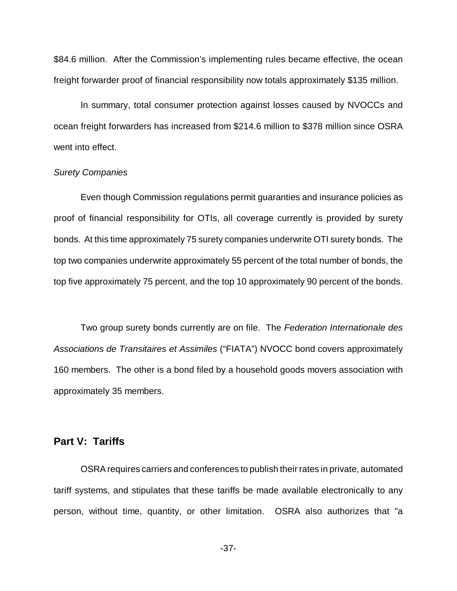\$84.6 million. After the Commission's implementing rules became effective, the ocean freight forwarder proof of financial responsibility now totals approximately \$135 million.

In summary, total consumer protection against losses caused by NVOCCs and ocean freight forwarders has increased from \$214.6 million to \$378 million since OSRA went into effect.

## *Surety Companies*

Even though Commission regulations permit guaranties and insurance policies as proof of financial responsibility for OTIs, all coverage currently is provided by surety bonds. At this time approximately 75 surety companies underwrite OTI surety bonds. The top two companies underwrite approximately 55 percent of the total number of bonds, the top five approximately 75 percent, and the top 10 approximately 90 percent of the bonds.

Two group surety bonds currently are on file. The *Federation Internationale des Associations de Transitaires et Assimiles* ("FIATA") NVOCC bond covers approximately 160 members. The other is a bond filed by a household goods movers association with approximately 35 members.

## **Part V: Tariffs**

OSRA requires carriers and conferences to publish their rates in private, automated tariff systems, and stipulates that these tariffs be made available electronically to any person, without time, quantity, or other limitation. OSRA also authorizes that "a

-37-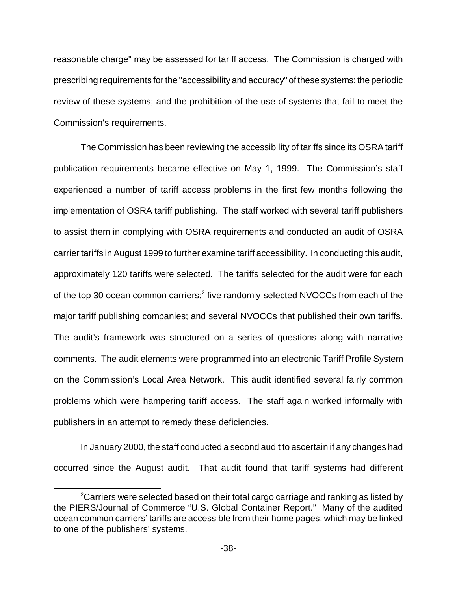reasonable charge" may be assessed for tariff access. The Commission is charged with prescribing requirements for the "accessibility and accuracy" of these systems; the periodic review of these systems; and the prohibition of the use of systems that fail to meet the Commission's requirements.

The Commission has been reviewing the accessibility of tariffs since its OSRA tariff publication requirements became effective on May 1, 1999. The Commission's staff experienced a number of tariff access problems in the first few months following the implementation of OSRA tariff publishing. The staff worked with several tariff publishers to assist them in complying with OSRA requirements and conducted an audit of OSRA carrier tariffs in August 1999 to further examine tariff accessibility. In conducting this audit, approximately 120 tariffs were selected. The tariffs selected for the audit were for each of the top 30 ocean common carriers;<sup>2</sup> five randomly-selected NVOCCs from each of the major tariff publishing companies; and several NVOCCs that published their own tariffs. The audit's framework was structured on a series of questions along with narrative comments. The audit elements were programmed into an electronic Tariff Profile System on the Commission's Local Area Network. This audit identified several fairly common problems which were hampering tariff access. The staff again worked informally with publishers in an attempt to remedy these deficiencies.

In January 2000, the staff conducted a second audit to ascertain if any changes had occurred since the August audit. That audit found that tariff systems had different

 $2$ Carriers were selected based on their total cargo carriage and ranking as listed by the PIERS/Journal of Commerce "U.S. Global Container Report." Many of the audited ocean common carriers' tariffs are accessible from their home pages, which may be linked to one of the publishers' systems.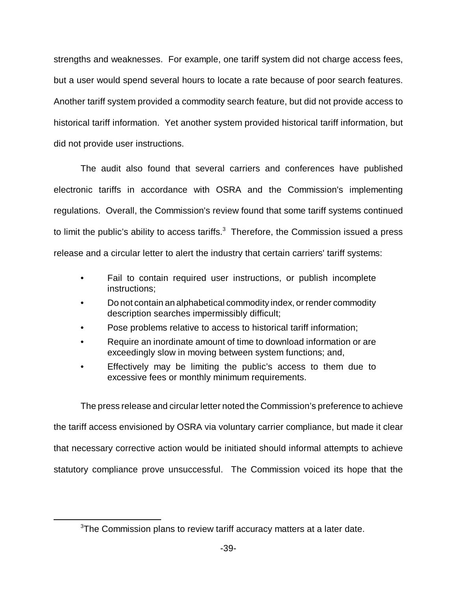strengths and weaknesses. For example, one tariff system did not charge access fees, but a user would spend several hours to locate a rate because of poor search features. Another tariff system provided a commodity search feature, but did not provide access to historical tariff information. Yet another system provided historical tariff information, but did not provide user instructions.

The audit also found that several carriers and conferences have published electronic tariffs in accordance with OSRA and the Commission's implementing regulations. Overall, the Commission's review found that some tariff systems continued to limit the public's ability to access tariffs. $3$  Therefore, the Commission issued a press release and a circular letter to alert the industry that certain carriers' tariff systems:

- Fail to contain required user instructions, or publish incomplete instructions;
- Do not contain an alphabetical commodity index, or render commodity description searches impermissibly difficult;
- Pose problems relative to access to historical tariff information;
- Require an inordinate amount of time to download information or are exceedingly slow in moving between system functions; and,
- Effectively may be limiting the public's access to them due to excessive fees or monthly minimum requirements.

The press release and circular letter noted the Commission's preference to achieve the tariff access envisioned by OSRA via voluntary carrier compliance, but made it clear that necessary corrective action would be initiated should informal attempts to achieve statutory compliance prove unsuccessful. The Commission voiced its hope that the

<sup>&</sup>lt;sup>3</sup>The Commission plans to review tariff accuracy matters at a later date.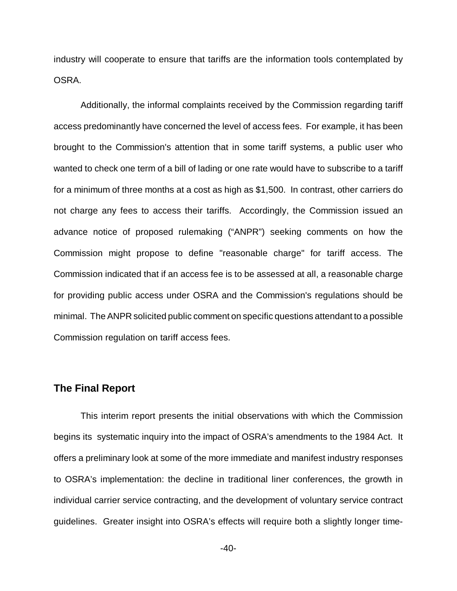industry will cooperate to ensure that tariffs are the information tools contemplated by OSRA.

Additionally, the informal complaints received by the Commission regarding tariff access predominantly have concerned the level of access fees. For example, it has been brought to the Commission's attention that in some tariff systems, a public user who wanted to check one term of a bill of lading or one rate would have to subscribe to a tariff for a minimum of three months at a cost as high as \$1,500. In contrast, other carriers do not charge any fees to access their tariffs. Accordingly, the Commission issued an advance notice of proposed rulemaking ("ANPR") seeking comments on how the Commission might propose to define "reasonable charge" for tariff access. The Commission indicated that if an access fee is to be assessed at all, a reasonable charge for providing public access under OSRA and the Commission's regulations should be minimal. The ANPR solicited public comment on specific questions attendant to a possible Commission regulation on tariff access fees.

## **The Final Report**

This interim report presents the initial observations with which the Commission begins its systematic inquiry into the impact of OSRA's amendments to the 1984 Act. It offers a preliminary look at some of the more immediate and manifest industry responses to OSRA's implementation: the decline in traditional liner conferences, the growth in individual carrier service contracting, and the development of voluntary service contract guidelines. Greater insight into OSRA's effects will require both a slightly longer time-

 $-40-$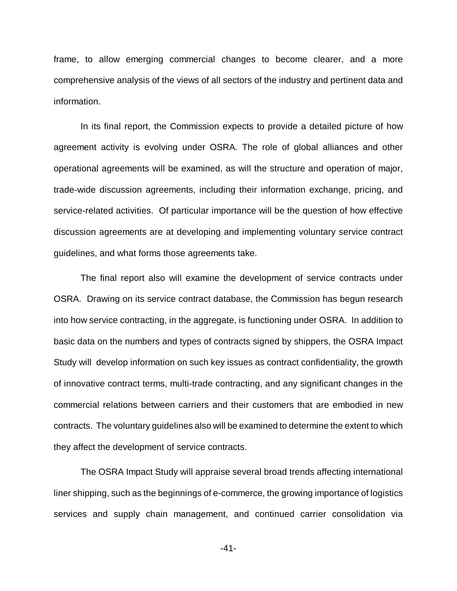frame, to allow emerging commercial changes to become clearer, and a more comprehensive analysis of the views of all sectors of the industry and pertinent data and information.

In its final report, the Commission expects to provide a detailed picture of how agreement activity is evolving under OSRA. The role of global alliances and other operational agreements will be examined, as will the structure and operation of major, trade-wide discussion agreements, including their information exchange, pricing, and service-related activities. Of particular importance will be the question of how effective discussion agreements are at developing and implementing voluntary service contract guidelines, and what forms those agreements take.

The final report also will examine the development of service contracts under OSRA. Drawing on its service contract database, the Commission has begun research into how service contracting, in the aggregate, is functioning under OSRA. In addition to basic data on the numbers and types of contracts signed by shippers, the OSRA Impact Study will develop information on such key issues as contract confidentiality, the growth of innovative contract terms, multi-trade contracting, and any significant changes in the commercial relations between carriers and their customers that are embodied in new contracts. The voluntary guidelines also will be examined to determine the extent to which they affect the development of service contracts.

The OSRA Impact Study will appraise several broad trends affecting international liner shipping, such as the beginnings of e-commerce, the growing importance of logistics services and supply chain management, and continued carrier consolidation via

-41-